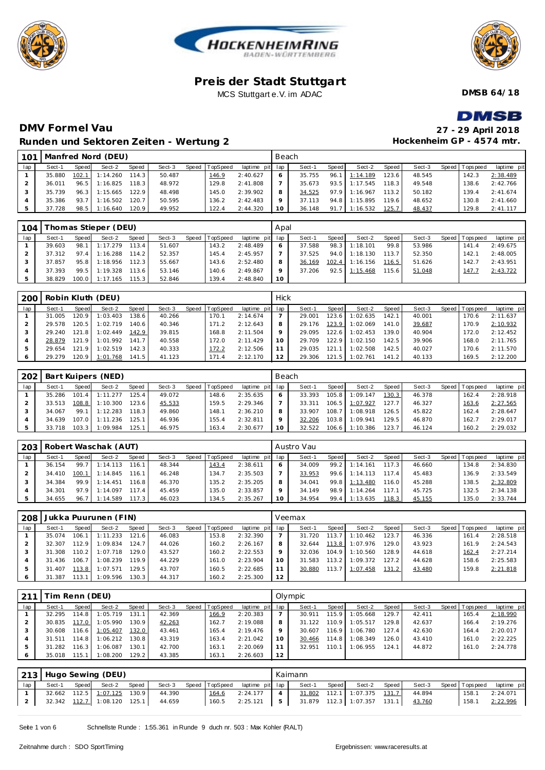





**DMSB 64/18**

### **DMV Formel Vau Runden und Sektoren Zeiten - Wertung 2**

| <b>DMSB</b>               |
|---------------------------|
| 27 - 29 April 2018        |
| Hockenheim GP - 4574 mtr. |

| 101 |        |       | Manfred Nord (DEU) |       |        |                |                 | Beach   |        |         |               |         |        |                |             |
|-----|--------|-------|--------------------|-------|--------|----------------|-----------------|---------|--------|---------|---------------|---------|--------|----------------|-------------|
| lap | Sect-1 | Speed | Sect-2             | Speed | Sect-3 | Speed TopSpeed | laptime pit lap |         | Sect-1 | Speed I | Sect-2        | Speed I | Sect-3 | Speed Topspeed | laptime pit |
|     | 35.880 | 102.1 | 1:14.260           | 114.3 | 50.487 | 146.9          | 2:40.627        | 6       | 35.755 | 96.7    | 1:14.189      | 123.6   | 48.545 | 142.3          | 2:38.489    |
|     | 36.011 | 96.5  | 1:16.825           | 118.3 | 48.972 | 129.8          | 2:41.808        |         | 35.673 | 93.5    | 1:17.545      | 118.31  | 49.548 | 138.6          | 2:42.766    |
|     | 35.739 | 96.3  | 1:15.665           | 122.9 | 48.498 | 145.0          | 2:39.902        | 8       | 34.525 |         | 97.9 1:16.967 | 113.2   | 50.182 | 139.4          | 2:41.674    |
|     | 35.386 | 93.7  | 1:16.502           | 120.7 | 50.595 | 136.2          | 2:42.483        | $\circ$ | 37.113 | 94.8    | 1:15.895      | 119.6   | 48.652 | 130.8          | 2:41.660    |
|     | 37.728 | 98.5  | 1:16.640           | 120.9 | 49.952 | 122.4          | 2: 44.320       | 10      | 36.148 | 91.7    | 1:16.532      | 125.7   | 48.437 | 129.8          | 2: 41.117   |

| 104 |        |       | Thomas Stieper (DEU) |       |        |                  |                 | Apal    |        |       |                |        |        |                |             |
|-----|--------|-------|----------------------|-------|--------|------------------|-----------------|---------|--------|-------|----------------|--------|--------|----------------|-------------|
| lap | Sect-1 | Speed | Sect-2               | Speed | Sect-3 | Speed   TopSpeed | laptime pit lap |         | Sect-1 | Speed | Sect-2         | Speed  | Sect-3 | Speed Topspeed | laptime pit |
|     | 39.603 |       | 98.1 1:17.279        | 113.4 | 51.607 | 143.2            | 2:48.489        | 6       | 37.588 |       | 98.3 1:18.101  | 99.8   | 53.986 | 141.4          | 2:49.675    |
|     | 37.312 |       | $97.4$ 1:16.288      | 114.2 | 52.357 | 145.4            | 2:45.957        |         | 37.525 |       | 94.0 1:18.130  | 113.7  | 52.350 | 142.1          | 2:48.005    |
|     | 37.857 | 95.8  | 1:18.956             | 112.3 | 55.667 | 143.6            | 2:52.480        | 8       | 36.169 |       | 102.4 1:16.156 | 116.5  | 51.626 | 142.7          | 2:43.951    |
|     | 37.393 | 99.5  | 1:19.328             | 113.6 | 53.146 | 140.6            | 2:49.867        | $\circ$ | 37.206 | 92.5  | 1:15.468       | 115.61 | 51.048 | 147.7          | 2:43.722    |
|     | 38.829 |       | 100.0 1:17.165       | 115.3 | 52.846 | 139.4            | 2:48.840        | 10      |        |       |                |        |        |                |             |

| 200 |        |         | Robin Kluth (DEU) |        |        |       |                 |                 | Hick |        |         |          |       |        |                |             |
|-----|--------|---------|-------------------|--------|--------|-------|-----------------|-----------------|------|--------|---------|----------|-------|--------|----------------|-------------|
| lap | Sect-1 | Speed   | Sect-2            | Speed  | Sect-3 | Speed | <b>TopSpeed</b> | laptime pit lap |      | Sect-1 | Speed I | Sect-2   | Speed | Sect-3 | Speed Topspeed | laptime pit |
|     | 31.005 | 120.9   | 1:03.403          | 138.61 | 40.266 |       | 170.1           | 2:14.674        |      | 29.001 | 123.6   | 1:02.635 | 142.1 | 40.001 | 170.6          | 2:11.637    |
|     | 29.578 | 20.5    | 1:02.719          | 140.6  | 40.346 |       | 171.2           | 2:12.643        | 8    | 29.176 | 123.9   | 1:02.069 | 141.0 | 39.687 | 170.9          | 2:10.932    |
|     | 29.240 | 121.8   | 1:02.449          | 142.9  | 39.815 |       | 168.8           | 2:11.504        |      | 29.095 | 122.6   | 1:02.453 | 139.0 | 40.904 | 172.0          | 2:12.452    |
|     | 28.879 | 121.9   | 1:01.992          | 141.7  | 40.558 |       | 172.0           | 2:11.429        |      | 29.709 | 122.9   | 1:02.150 | 142.5 | 39.906 | 168.0          | 2:11.765    |
|     | 29.654 | 121.9   | 1:02.519          | 142.3  | 40.333 |       | 172.2           | 2:12.506        |      | 29.035 | 121.1   | 1:02.508 | 142.5 | 40.027 | 170.6          | 2:11.570    |
|     | 29.279 | 120.9 I | 1:01.768          | 141.5  | 41.123 |       | 171.4           | 2:12.170        | 12   | 29.306 | 121.5   | 1:02.761 | 141.2 | 40.133 | 169.5          | 2:12.200    |

| 202 |        |        | Bart Kuipers (NED) |       |        |       |          |             | Beach |        |       |          |       |        |              |            |             |
|-----|--------|--------|--------------------|-------|--------|-------|----------|-------------|-------|--------|-------|----------|-------|--------|--------------|------------|-------------|
| lap | Sect-1 | Speed  | Sect-2             | Speed | Sect-3 | Speed | TopSpeed | laptime pit | lap   | Sect-1 | Speed | Sect-2   | Speed | Sect-3 | <b>Speed</b> | Tops pee d | laptime pit |
|     | 35.286 | 101.   | 1:11.277           | 125.4 | 49.072 |       | 148.6    | 2:35.635    | 6     | 33.393 | 105.8 | 1:09.147 | 130.3 | 46.378 |              | 162.4      | 2:28.918    |
|     | 33.513 | 108.8  | 1:10.300           | 123.6 | 45.533 |       | 159.5    | 2:29.346    |       | 33.311 | 106.5 | 1:07.927 | 127.7 | 46.327 |              | 163.6      | 2:27.565    |
|     | 34.067 | 99.1   | 1:12.283           | 118.3 | 49.860 |       | 148.1    | 2:36.210    | 8     | 33.907 | 108.7 | 1:08.918 | 126.5 | 45.822 |              | 162.4      | 2:28.647    |
|     | 34.639 | 107.01 | 1:11.236           | 125.1 | 46.936 |       | 155.4    | 2:32.811    |       | 32.206 | 103.8 | 1:09.941 | 129.5 | 46.870 |              | 162.7      | 2:29.017    |
|     | 33.718 | 103.3  | 1:09.984           | 125.1 | 46.975 |       | 163.4    | 2:30.677    | 10    | 32.522 | 106.6 | 1:10.386 | 123.7 | 46.124 |              | 160.2      | 2:29.032    |

|     |        |       | 203   Robert Waschak (AUT) |       |        |                |                 |    | Austro Vau |       |          |       |        |                |             |
|-----|--------|-------|----------------------------|-------|--------|----------------|-----------------|----|------------|-------|----------|-------|--------|----------------|-------------|
| lap | Sect-1 | Speed | Sect-2                     | Speed | Sect-3 | Speed TopSpeed | laptime pit lap |    | Sect-1     | Speed | Sect-2   | Speed | Sect-3 | Speed Topspeed | laptime pit |
|     | 36.154 | 99.7  | 1:14.113                   | 116.1 | 48.344 | 143.4          | 2:38.611        | 6  | 34.009     | 99.2  | 1:14.161 | 117.3 | 46.660 | 134.8          | 2:34.830    |
|     | 34.410 | 100.1 | 1:14.845                   | 116.1 | 46.248 | 134.7          | 2:35.503        |    | 33.953     | 99.6  | 1:14.113 | 1174  | 45.483 | 136.9          | 2:33.549    |
|     | 34.384 | 99.9  | 1:14.451                   | 116.8 | 46.370 | 135.2          | 2:35.205        | 8  | 34.041     | 99.8  | 1:13.480 | 116.0 | 45.288 | 138.5          | 2:32.809    |
|     | 34.301 | 97.9  | 1:14.097                   | 117.4 | 45.459 | 135.0          | 2:33.857        | Q  | 34.149     | 98.9  | 1:14.264 | 117.1 | 45.725 | 132.5          | 2:34.138    |
|     | 34.655 | 96.7  | 1:14.589                   | 117.3 | 46.023 | 134.5          | 2:35.267        | 10 | 34.954     | 99.4  | 1:13.635 | 118.3 | 45.155 | 135.0          | 2:33.744    |

| 208 |            |       | Jukka Puurunen (FIN) |       |        |                |                 |    | Veemax |         |          |       |        |                |             |
|-----|------------|-------|----------------------|-------|--------|----------------|-----------------|----|--------|---------|----------|-------|--------|----------------|-------------|
| lap | Sect-1     | Speed | Sect-2               | Speed | Sect-3 | Speed TopSpeed | laptime pit lap |    | Sect-1 | Speed I | Sect-2   | Speed | Sect-3 | Speed Topspeed | laptime pit |
|     | 35.074     | 106.1 | 1:11.233             | 121.6 | 46.083 | 153.8          | 2:32.390        |    | 31.720 | 113.7   | 1:10.462 | 123.7 | 46.336 | 161.4          | 2:28.518    |
|     | 32.307     | 112.9 | 1:09.834             | 124.7 | 44.026 | 160.2          | 2:26.167        | 8  | 32.644 | 113.8   | 1:07.976 | 129.0 | 43.923 | 161.9          | 2:24.543    |
|     | 31.308     | 110.2 | 1:07.718             | 129.0 | 43.527 | 160.2          | 2:22.553        | Q  | 32.036 | 104.9   | 1:10.560 | 128.9 | 44.618 | 162.4          | 2:27.214    |
|     | 31.436     | 106.7 | 1:08.239             | 119.9 | 44.229 | 161.0          | 2:23.904        | 10 | 31.583 | 113.2   | 1:09.372 | 127.2 | 44.628 | 158.6          | 2:25.583    |
|     | .407<br>31 | 113.8 | 1:07.571             | 129.5 | 43.707 | 160.5          | 2:22.685        | 11 | 30.880 | 113.7   | 1:07.458 | 131.2 | 43.480 | 159.8          | 2:21.818    |
|     | 31.387     | 113.1 | 1:09.596             | 130.3 | 44.317 | 160.2          | 2:25.300        | 12 |        |         |          |       |        |                |             |

| 211 |            | im Renn (DEU) |          |        |        |                |             |                 | Olympic |       |          |       |        |                |             |
|-----|------------|---------------|----------|--------|--------|----------------|-------------|-----------------|---------|-------|----------|-------|--------|----------------|-------------|
| lap | Sect-1     | Speed         | Sect-2   | Speed  | Sect-3 | Speed TopSpeed | laptime pit | lap             | Sect-1  | Speed | Sect-2   | Speed | Sect-3 | Speed Topspeed | laptime pit |
|     | 32.295     | 114.8         | 1:05.719 | 131.11 | 42.369 | 166.9          | 2:20.383    |                 | 30.911  | 115.9 | 1:05.668 | 129.7 | 42.411 | 165.4          | 2:18.990    |
|     | 30.835     | 117.0         | 1:05.990 | 130.9  | 42.263 | 162.7          | 2:19.088    | 8               | 31.122  | 110.9 | 1:05.517 | 129.8 | 42.637 | 166.4          | 2:19.276    |
|     | 30.608     | 116.6         | 1:05.407 | 132.0  | 43.461 | 165.4          | 2:19.476    | 9               | 30.607  | 116.9 | 1:06.780 | 127.4 | 42.630 | 164.4          | 2:20.017    |
|     | .511<br>31 | 114.8         | 1:06.212 | 130.8  | 43.319 | 163.4          | 2:21.042    | 10 <sup>°</sup> | 30.466  | 114.8 | 1:08.349 | 126.0 | 43.410 | 161.0          | 2:22.225    |
|     | .282<br>31 | 116.3         | 1:06.087 | 130.1  | 42.700 | 163.7          | 2:20.069    |                 | 32.951  | 110.1 | 1:06.955 | 124.1 | 44.872 | 161.0          | 2:24.778    |
|     | 35.018     | 115.1         | 1:08.200 | 129.2  | 43.385 | 163.1          | 2:26.603    | 12              |         |       |          |       |        |                |             |

|     |        |       | 213   Hugo Sewing (DEU)        |       |        |       |                                       |                | Kaimann                       |                             |        |                       |             |
|-----|--------|-------|--------------------------------|-------|--------|-------|---------------------------------------|----------------|-------------------------------|-----------------------------|--------|-----------------------|-------------|
| lap | Sect-1 | Speed | Sect-2                         | Speed |        |       | Sect-3 Speed TopSpeed laptime pit lap |                | Sect-1                        | Speed Sect-2 Speed          |        | Sect-3 Speed Topspeed | laptime pit |
|     |        |       | 32.662  112.5  1:07.125  130.9 |       | 44.390 | 164.6 | $2:24.177$                            |                |                               | 31.802 112.1 1:07.375 131.7 | 44.894 | 158.1                 | 2:24.071    |
|     |        |       | 32.342 112.7 1:08.120 125.1    |       | 44.659 | 160.5 | 2:25.121                              | 5 <sup>1</sup> | $31.879$ 112.3 1:07.357 131.1 |                             | 43.760 | 158.1                 | 2:22.996    |

Seite 1 von 6 Schnellste Runde : 1:55.361 in Runde 9 duch nr. 503 : Max Kohler (RALT)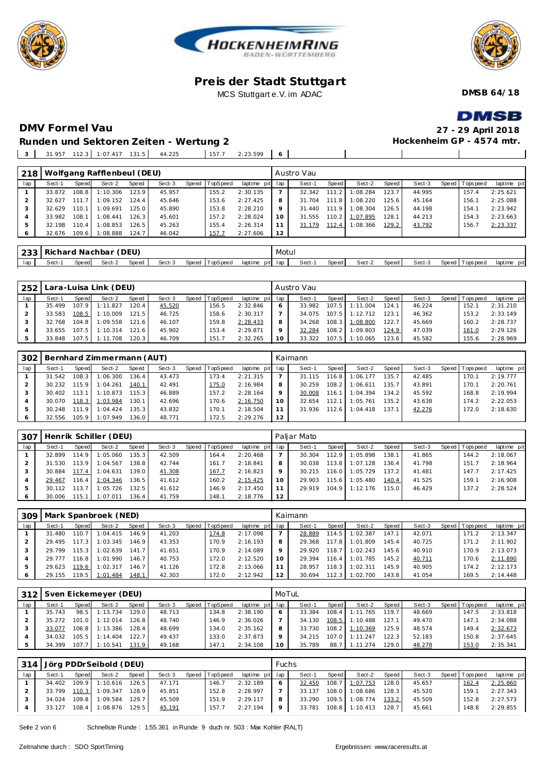





**DMSB 64/18**

# **DMV Formel Vau 27 - 29 April 2018**

**DMSB Hockenheim GP - 4574 mtr.**

 $\overline{\phantom{a}}$ 

 $\blacksquare$ 

**Runden und Sektoren Zeiten - Wertung 2**

| $\overline{z}$ | 31.957 | $1123$ 1.07 417 131 5 | . | 44.225 | 157.7 | 2.2350 |  |
|----------------|--------|-----------------------|---|--------|-------|--------|--|
|                |        |                       |   |        |       |        |  |

| 218 |        |       | Wolfgang Rafflenbeul (DEU) |       |        |       |                 |                 |       | Austro Vau |       |          |       |        |                |             |
|-----|--------|-------|----------------------------|-------|--------|-------|-----------------|-----------------|-------|------------|-------|----------|-------|--------|----------------|-------------|
| lap | Sect-1 | Speed | Sect-2                     | Speed | Sect-3 | Speed | <b>TopSpeed</b> | laptime pit lap |       | Sect-1     | Speed | Sect-2   | Speed | Sect-3 | Speed Topspeed | laptime pit |
|     | 33.872 | 108.8 | 1:10.306                   | 123.9 | 45.957 |       | 155.2           | 2:30.135        |       | 32.342     | 111.2 | 1:08.284 | 123.7 | 44.995 | 157.4          | 2:25.621    |
|     | 32.627 | 111.7 | 1:09.152                   | 124.4 | 45.646 |       | 153.6           | 2:27.425        | 8     | 31.704     | 111.8 | 1:08.220 | 125.6 | 45.164 | 156.1          | 2:25.088    |
|     | 32.629 | 110.1 | 1:09.691                   | 125.0 | 45.890 |       | 153.8           | 2:28.210        | 9     | 31.440     | 111.9 | 1:08.304 | 126.5 | 44.198 | 154.1          | 2:23.942    |
|     | 33.982 | 108.1 | 1:08.441                   | 126.3 | 45.601 |       | 157.2           | 2:28.024        | 10    | 31.555     | 110.2 | 1:07.895 | 128.1 | 44.213 | 154.3          | 2:23.663    |
|     | 32.198 | 110.4 | 1:08.853                   | 126.5 | 45.263 |       | 155.4           | 2:26.314        |       | 31.179     | 112.4 | 1:08.366 | 129.2 | 43.792 | 156.7          | 2:23.337    |
|     | 32.676 | 109.6 | 1:08.888                   | 124.7 | 46.042 |       | 157.7           | 2:27.606        | 12    |            |       |          |       |        |                |             |
|     |        |       |                            |       |        |       |                 |                 |       |            |       |          |       |        |                |             |
| 233 |        |       | Richard Nachbar (DEU)      |       |        |       |                 |                 | Motul |            |       |          |       |        |                |             |

lap Sect-1 Speed Sect-2 Speed Sect-3 Speed TopSpeed laptime pit lap Sect-1 Speed Sect-2 Speed Sect-3 Speed Topspeed laptime pit

| . 252 ' |        |       | Lara-Luisa Link (DEU) |       |        |                |                 |          | Austro Vau |         |                  |       |        |                 |             |
|---------|--------|-------|-----------------------|-------|--------|----------------|-----------------|----------|------------|---------|------------------|-------|--------|-----------------|-------------|
| lap     | Sect-1 | Speed | Sect-2                | Speed | Sect-3 | Speed TopSpeed | laptime pit lap |          | Sect-1     | Speed I | Sect-2           | Speed | Sect-3 | Speed Tops peed | laptime pit |
|         | 35.499 |       | 107.9 1:11.827        | 120.4 | 45.520 | 156.5          | 2:32.846        |          | 33.982     |         | 107.5 1:11.004   | 124.1 | 46.224 | 152.1           | 2:31.210    |
|         | 33.583 | 108.5 | 1:10.009              | 121.5 | 46.725 | 158.6          | 2:30.317        |          | 34.075     |         | $107.5$ 1:12.712 | 123.1 | 46.362 | 153.2           | 2:33.149    |
|         | 32.768 |       | 104.8 1:09.558        | 121.6 | 46.107 | 159.8          | 2:28.433        | 8        | 34.268     |         | 108.3 1:08.800   | 122.7 | 45.669 | 160.2           | 2:28.737    |
|         |        |       | 33.655 107.5 1:10.314 | 121.6 | 45.902 | 153.4          | 2:29.871        |          | 32.284     |         | 108.2 1:09.803   | 124.9 | 47.039 | 161.0           | 2:29.126    |
|         | 33.848 |       | 107.5 1:11.708        | 120.3 | 46.709 | 151.7          | 2:32.265        | $10^{-}$ | 33.322     |         | 107.5 1:10.065   | 123.6 | 45.582 | 155.6           | 2:28.969    |

|     |        |         | 302   Bernhard Zimmermann (AUT) |       |        |       |          |                 |    | Kaimann |         |          |         |        |                 |             |
|-----|--------|---------|---------------------------------|-------|--------|-------|----------|-----------------|----|---------|---------|----------|---------|--------|-----------------|-------------|
| lap | Sect-1 | Speed   | Sect-2                          | Speed | Sect-3 | Speed | TopSpeed | laptime pit lap |    | Sect-1  | Speed I | Sect-2   | Speed I | Sect-3 | Speed Tops peed | laptime pit |
|     | 31.542 | 108.3   | 1:06.300                        | 136.4 | 43.473 |       | 173.4    | 2:21.315        |    | 31.115  | 116.8   | 1:06.177 | 135.7   | 42.485 | 170.1           | 2:19.777    |
|     | 30.232 | 115.9   | 1:04.261                        | 140.1 | 42.491 |       | 175.0    | 2:16.984        |    | 30.259  | 108.2   | 1:06.611 | 135.7   | 43.891 | 170.1           | 2:20.761    |
|     | 30.402 | 113.1   | 1:10.873                        | 115.3 | 46.889 |       | 157.2    | 2:28.164        |    | 30.008  | 116.1   | 1:04.394 | 134.2   | 45.592 | 168.8           | 2:19.994    |
|     | 30.070 | 118.3   | 1:03.984                        | 130.1 | 42.696 |       | 170.6    | 2:16.750        |    | 32.654  | 112.1   | 1:05.761 | 135.2   | 43.638 | 174.2           | 2:22.053    |
|     | 30.248 | 111.9   | 1:04.424                        | 135.3 | 43.832 |       | 170.1    | 2:18.504        |    | 31.936  | 112.6   | 1:04.418 | 137.1   | 42.276 | 172.0           | 2:18.630    |
|     | 32.556 | $105.9$ | 1:07.949                        | 136.0 | 48.771 |       | 172.5    | 2:29.276        | 12 |         |         |          |         |        |                 |             |

| 307 |        |       | Henrik Schiller (DEU) |                    |        |                |                 |         | Paljar Mato |       |          |         |        |                |             |
|-----|--------|-------|-----------------------|--------------------|--------|----------------|-----------------|---------|-------------|-------|----------|---------|--------|----------------|-------------|
| lap | Sect-1 | Speed | Sect-2                | Speed              | Sect-3 | Speed TopSpeed | laptime pit lap |         | Sect-1      | Speed | Sect-2   | Speed I | Sect-3 | Speed Topspeed | laptime pit |
|     | 32.899 | 114.9 | 1:05.060              | 135.3 <sub>1</sub> | 42.509 | 164.4          | 2:20.468        |         | 30.304      | 112.9 | 1:05.898 | 138.1   | 41.865 | 144.2          | 2:18.067    |
|     | 31.530 | 113.9 | 1:04.567              | 138.8              | 42.744 | 161.7          | 2:18.841        | 8       | 30.038      | 113.8 | 1:07.128 | 136.4   | 41.798 | 151.7          | 2:18.964    |
|     | 30.884 | 117.4 | 1:04.631              | 139.0              | 41.308 | 167.7          | 2:16.823        | $\circ$ | 30.215      | 116.0 | 1:05.729 | 137.2   | 41.481 | 147.7          | 2:17.425    |
|     | 29.467 | 116.4 | 1:04.346              | 136.5              | 41.612 | 160.2          | 2:15.425        | 10      | 29.903      | 115.6 | 1:05.480 | 140.4   | 41.525 | 159.1          | 2:16.908    |
|     | 30.112 | 113.7 | 1:05.726              | 132.5              | 41.612 | 146.9          | 2:17.450        | 11      | 29.919      | 104.9 | 1:12.176 | 115.0   | 46.429 | 137.2          | 2:28.524    |
|     | 30.006 | 115.1 | 1:07.011              | 136.4              | 41.759 | 148.1          | 2:18.776        | 12      |             |       |          |         |        |                |             |

|     |        |       | 309   Mark Spanbroek (NED) |       |        |                |                 |    | Kaimann |         |          |         |        |                |             |
|-----|--------|-------|----------------------------|-------|--------|----------------|-----------------|----|---------|---------|----------|---------|--------|----------------|-------------|
| lap | Sect-1 | Speed | Sect-2                     | Speed | Sect-3 | Speed TopSpeed | laptime pit lap |    | Sect-1  | Speed I | Sect-2   | Speed I | Sect-3 | Speed Topspeed | laptime pit |
|     | 31.480 | 110.7 | 1:04.415                   | 146.9 | 41.203 | 174.8          | 2:17.098        |    | 28.889  | 114.5   | 1:02.387 | 147.1   | 42.071 | 171.2          | 2:13.347    |
|     | 29.495 | 117.3 | 1:03.345                   | 146.9 | 43.353 | 170.9          | 2:16.193        |    | 29.368  | 117.8   | 1:01.809 | 145.4   | 40.725 | 171.2          | 2:11.902    |
|     | 29.799 | 115.3 | 1:02.639                   | 141.7 | 41.651 | 170.9          | 2:14.089        |    | 29.920  | 118.7   | 1:02.243 | 145.6   | 40.910 | 170.9          | 2:13.073    |
|     | 29 777 | 116.8 | 1:01.990                   | 146.7 | 40.753 | 172.0          | 2:12.520        | 10 | 29.394  | 116.4   | 1:01.785 | 145.2   | 40.711 | 170.6          | 2:11.890    |
| 5   | 29.623 | 119.6 | 1:02.317                   | 146.7 | 41.126 | 72.8           | 2:13.066        |    | 28.957  | 118.3   | 1:02.311 | 145.9   | 40.905 | 174.2          | 2:12.173    |
| 6   | 29.155 | 119.5 | 1:01.484                   | 148.1 | 42.303 | 172.0          | 2:12.942        | 12 | 30.694  | 112.3   | 1:02.700 | 143.8   | 41.054 | 169.5          | 2:14.448    |

|     |        |       | 312   Sven Eickemeyer (DEU) |       |        |                |                 | MoTuL |        |       |          |       |        |                |             |
|-----|--------|-------|-----------------------------|-------|--------|----------------|-----------------|-------|--------|-------|----------|-------|--------|----------------|-------------|
| lap | Sect-1 | Speed | Sect-2                      | Speed | Sect-3 | Speed TopSpeed | laptime pit lap |       | Sect-1 | Speed | Sect-2   | Speed | Sect-3 | Speed Topspeed | laptime pit |
|     | 35.743 | 98.5  | 1:13.734                    | 129.0 | 48.713 | 134.8          | 2:38.190        | 6     | 33.384 | 108.4 | 1:11.765 | 119.7 | 48.669 | 147.5          | 2:33.818    |
|     | 35 272 | 101.0 | 1:12.014                    | 126.8 | 48.740 | 146.9          | 2:36.026        |       | 34.130 | 108.5 | 1:10.488 | 127.1 | 49.470 | 147.1          | 2:34.088    |
|     | 33.077 | 106.8 | 1:13.386                    | 128.4 | 48.699 | 134.0          | 2:35.162        | 8     | 33.730 | 108.2 | 1:10.369 | 125.9 | 48.574 | 149.4          | 2:32.673    |
|     | 34.032 | 105.5 | 1:14.404                    | 122.7 | 49.437 | 133.0          | 2:37.873        |       | 34.215 | 107.0 | 1:11.247 | 122.3 | 52.183 | 150.8          | 2:37.645    |
|     | 34.399 | 107.7 | 1:10.541                    | 131.9 | 49.168 | 147.1          | 2:34.108        | 10    | 35.789 | 88.7  | 1:11.274 | 129.0 | 48.278 | 153.0          | 2:35.341    |

|     |        |       | 314 Jörg PDDrSeibold (DEU)  |       |        |                |                 | <b>Fuchs</b> |        |       |                             |       |        |                |             |
|-----|--------|-------|-----------------------------|-------|--------|----------------|-----------------|--------------|--------|-------|-----------------------------|-------|--------|----------------|-------------|
| lap | Sect-1 | Speed | Sect-2                      | Speed | Sect-3 | Speed TopSpeed | laptime pit lap |              | Sect-1 | Speed | Sect-2                      | Speed | Sect-3 | Speed Topspeed | laptime pit |
|     |        |       | 34.402 109.9 1:10.616 126.5 |       | 47.171 | 146.7          | 2:32.189        |              | 32.450 |       | 108.7 1:07.753              | 128.0 | 45.657 | 162.4          | 2:25.860    |
|     | 33.799 |       | 110.3 1:09.347 128.9        |       | 45.851 | 152.8          | 2:28.997        |              | 33.137 |       | 108.0 1:08.686              | 128.3 | 45.520 | 159.1          | 2:27.343    |
|     | 34.024 |       | 109.8 1:09.584 129.7        |       | 45.509 | 151.9          | 2:29.117        |              |        |       | 33.290 109.5 1:08.774       | 133.2 | 45.509 | 152.8          | 2:27.573    |
|     |        |       | 33.127 108.4 1:08.876 129.5 |       | 45.191 | 157.7          | 2:27.194        | 9            |        |       | 33.781 108.8 1:10.413 128.7 |       | 45.661 | 148.8          | 2:29.855    |

Seite 2 von 6 Schnellste Runde : 1:55.361 in Runde 9 duch nr. 503 : Max Kohler (RALT)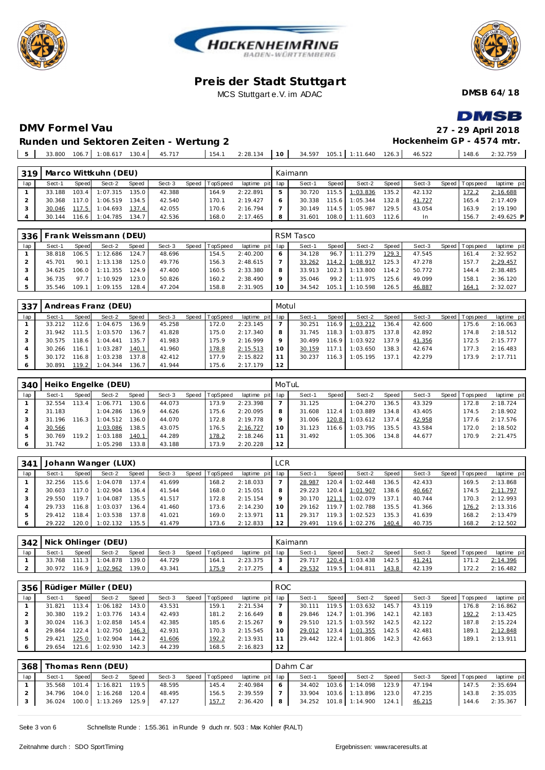





**DMSB 64/18**

#### **DMV Formel Vau 27 - 29 April 2018 Runden und Sektoren Zeiten - Wertung 2**

**DMSB** 

**Hockenheim GP - 4574 mtr.**

33.800 106.7 1:08.617 130.4 45.717 154.1 2:28.134 **10** 34.597 105.1 1:11.640 126.3 46.522 148.6 2:32.759

| 319 |        |                      | Marco Wittkuhn (DEU) |       |        |                |                 | Kaimann |       |                |        |        |                 |              |
|-----|--------|----------------------|----------------------|-------|--------|----------------|-----------------|---------|-------|----------------|--------|--------|-----------------|--------------|
| lap | Sect-1 | <b>Speed</b>         | Sect-2               | Speed | Sect-3 | Speed TopSpeed | laptime pit lap | Sect-1  | Speed | Sect-2         | Speed  | Sect-3 | Speed Tops peed | laptime pit  |
|     | 33.188 | 103.4                | 1:07.315             | 135.0 | 42.388 | 164.9          | 2:22.891        | 30.720  | 115.5 | 1:03.836       | 135.21 | 42.132 | 172.2           | 2:16.688     |
|     | 30.368 | 117.O $\blacksquare$ | 1:06.519             | 134.5 | 42.540 | 170.1          | 2:19.427        | 30.338  | 115.6 | 1:05.344       | 132.8  | 41.727 | 165.4           | 2:17.409     |
|     | 30.046 | 117.5                | 1:04.693 137.4       |       | 42.055 | 170.6          | 2:16.794        | 30.149  | 114.5 | 1:05.987       | 129.51 | 43.054 | 163.9           | 2:19.190     |
|     | 30.144 | 116.6                | 1:04.785             | 134.7 | 42.536 | 168.0          | 2:17.465        | 31.601  |       | 108.0 1:11.603 | 112.6  | In.    | 156.7           | $2:49.625$ P |

| 336 |        |       | Frank Weissmann (DEU) |              |        |                |                 |         | RSM Tasco |       |          |       |        |                 |             |
|-----|--------|-------|-----------------------|--------------|--------|----------------|-----------------|---------|-----------|-------|----------|-------|--------|-----------------|-------------|
| lap | Sect-1 | Speed | Sect-2                | <b>Speed</b> | Sect-3 | Speed TopSpeed | laptime pit lap |         | Sect-1    | Speed | Sect-2   | Speed | Sect-3 | Speed Tops peed | laptime pit |
|     | 38.818 | 106.5 | 1:12.686              | 124.7        | 48.696 | 154.5          | 2:40.200        |         | 34.128    | 96.7  | 1:11.279 | 129.3 | 47.545 | 161.4           | 2:32.952    |
|     | 45.701 | 90.1  | 1:13.138              | 125.0        | 49.776 | 156.3          | 2:48.615        |         | 33.262    | 114.2 | 1:08.917 | 125.3 | 47.278 | 157.7           | 2:29.457    |
|     | 34.625 | 106.0 | 1:11.355              | 124.9        | 47.400 | 160.5          | 2:33.380        | 8       | 33.913    | 102.3 | 1:13.800 | 114.2 | 50.772 | 144.4           | 2:38.485    |
|     | 36.735 | 977   | 1:10.929              | 123.0        | 50.826 | 160.2          | 2:38.490        | $\circ$ | 35.046    | 99.2  | 1:11.975 | 125.6 | 49.099 | 158.1           | 2:36.120    |
|     | 35.546 | 109.1 | 1:09.155              | 128.4        | 47.204 | 158.8          | 2:31.905        | 10      | 34.542    | 105.1 | 1:10.598 | 126.5 | 46.887 | 164.            | 2:32.027    |

| 337 |        |                    | Andreas Franz (DEU) |       |        |                |                 | Motul   |        |        |          |                    |        |                |             |
|-----|--------|--------------------|---------------------|-------|--------|----------------|-----------------|---------|--------|--------|----------|--------------------|--------|----------------|-------------|
| lap | Sect-1 | Speed              | Sect-2              | Speed | Sect-3 | Speed TopSpeed | laptime pit lap |         | Sect-1 | Speed  | Sect-2   | Speed              | Sect-3 | Speed Topspeed | laptime pit |
|     | 33.212 | 112.61             | 1:04.675            | 136.9 | 45.258 | 172.0          | 2:23.145        |         | 30.251 | 116.91 | 1:03.212 | 136.4              | 42.600 | 175.6          | 2:16.063    |
|     | 31.942 | . 5<br>111         | 1:03.570            | 136.7 | 41.828 | 175.0          | 2:17.340        | 8       | 31.745 | 118.3  | 1:03.875 | 137.8              | 42.892 | 174.8          | 2:18.512    |
|     | 30.575 | 118.6              | 1:04.441            | 135.7 | 41.983 | 175.9          | 2:16.999        | $\circ$ | 30.499 | 116.91 | 1:03.922 | 137.9 <sup>1</sup> | 41.356 | 172.5          | 2:15.777    |
|     | 30.266 | 116.1              | 1:03.287            | 140.1 | 41.960 | 178.8          | 2:15.513        | 10      | 30.159 | 117.1  | 1:03.650 | 138.3              | 42.674 | 177.3          | 2:16.483    |
|     | 30.172 | 116.8 <sub>1</sub> | 1:03.238            | 137.8 | 42.412 | 177.9          | 2:15.822        |         | 30.237 | 116.3  | 1:05.195 | 137.1              | 42.279 | 173.9          | 2:17.711    |
|     | 30.891 | 119.2              | 1:04.344            | 136.7 | 41.944 | 175.6          | 2:17.179        | 12      |        |        |          |                    |        |                |             |

|     |        |       | 340   Heiko Engelke (DEU) |       |        |                |                 | MoTuL |        |       |          |       |        |                 |             |
|-----|--------|-------|---------------------------|-------|--------|----------------|-----------------|-------|--------|-------|----------|-------|--------|-----------------|-------------|
| lap | Sect-1 | Speed | Sect-2                    | Speed | Sect-3 | Speed TopSpeed | laptime pit lap |       | Sect-1 | Speed | Sect-2   | Speed | Sect-3 | Speed Tops peed | laptime pit |
|     | 32.554 | 113.4 | 1:06.771                  | 130.6 | 44.073 | 173.9          | 2:23.398        |       | 31.125 |       | 1:04.270 | 136.5 | 43.329 | 172.8           | 2:18.724    |
|     | 31.183 |       | 1:04.286                  | 136.9 | 44.626 | 175.6          | 2:20.095        |       | 31.608 | 112.4 | 1:03.889 | 134.8 | 43.405 | 174.5           | 2:18.902    |
| 3   | 31.196 | 116.3 | 1:04.512                  | 136.0 | 44.070 | 172.8          | 2:19.778        |       | 31.006 | 120.8 | 1:03.612 | 137.4 | 42.958 | 177.6           | 2:17.576    |
|     | 30.566 |       | 1:03.086                  | 138.5 | 43.075 | 176.5          | 2:16.727        |       | 31.123 | 116.6 | 1:03.795 | 135.5 | 43.584 | 172.0           | 2:18.502    |
|     | 30.769 | 119.2 | 1:03.188                  | 140.1 | 44.289 | 178.2          | 2:18.246        |       | 31.492 |       | 1:05.306 | 134.8 | 44.677 | 170.9           | 2:21.475    |
| 6   | 31.742 |       | 1:05.298                  | 133.8 | 43.188 | 173.9          | 2:20.228        | 12    |        |       |          |       |        |                 |             |

| 341 |        |         | Johann Wanger (LUX) |        |        |       |          |                 | <b>LCR</b> |        |        |          |       |        |                |             |
|-----|--------|---------|---------------------|--------|--------|-------|----------|-----------------|------------|--------|--------|----------|-------|--------|----------------|-------------|
| lap | Sect-1 | Speed   | Sect-2              | Speed  | Sect-3 | Speed | TopSpeed | laptime pit lap |            | Sect-1 | Speed  | Sect-2   | Speed | Sect-3 | Speed Topspeed | laptime pit |
|     | 32.256 | 115.6   | 1:04.078            | 137.4  | 41.699 |       | 168.2    | 2:18.033        |            | 28.987 | 120.4  | 1:02.448 | 136.5 | 42.433 | 169.5          | 2:13.868    |
|     | 30.603 | 1170    | 1:02.904            | 136.4  | 41.544 |       | 168.0    | 2:15.051        | 8          | 29.223 | 120.4  | 1:01.907 | 138.6 | 40.667 | 174.5          | 2:11.797    |
|     | 29.550 | 119.7   | 1:04.087            | 135.5  | 41.517 |       | 172.8    | 2:15.154        |            | 30.170 | 121.1  | 1:02.079 | 137.1 | 40.744 | 170.3          | 2:12.993    |
|     | 29.733 | 116.8   | 1:03.037            | 136.4. | 41.460 |       | 173.6    | 2:14.230        |            | 29.162 | 119.7  | 1:02.788 | 135.5 | 41.366 | 176.2          | 2:13.316    |
|     | 29 412 | 118.4   | 1:03.538            | 137.8  | 41.021 |       | 169.0    | 2:13.971        |            | 29.317 | 119.3. | 1:02.523 | 135.3 | 41.639 | 168.2          | 2:13.479    |
|     | 29.222 | 120.0 l | 1:02.132            | 135.5  | 41.479 |       | 173.6    | 2:12.833        | 12         | 29.491 | 119.6  | 1:02.276 | 140.4 | 40.735 | 168.2          | 2:12.502    |

|     |        |       | 342 Nick Ohlinger (DEU) |        |        |                |                 | Kaimann |       |                |       |        |                |             |
|-----|--------|-------|-------------------------|--------|--------|----------------|-----------------|---------|-------|----------------|-------|--------|----------------|-------------|
| lap | Sect-1 | Speed | Sect-2                  | Speed  | Sect-3 | Speed TopSpeed | laptime pit lap | Sect-1  | Speed | Sect-2         | Speed | Sect-3 | Speed Topspeed | laptime pit |
|     | 33.768 |       | 111.3 1:04.878          | 139.0  | 44.729 | 164.1          | 2:23.375        | 29.717  |       | 120.4 1:03.438 | 142.5 | 41.241 |                | 2:14.396    |
|     | 30.972 |       | $116.9$ 1:02.962        | 139.01 | 43.341 | 175.9          | 2:17.275        | 29.532  | 119.5 | 1:04.811       | 143.8 | 42.139 | 172.2          | 2:16.482    |

| 356 L |        |       | Rüdiger Müller (DEU) |       |        |                |                 | ROC.            |        |       |          |       |        |       |                   |             |
|-------|--------|-------|----------------------|-------|--------|----------------|-----------------|-----------------|--------|-------|----------|-------|--------|-------|-------------------|-------------|
| lap   | Sect-1 | Speed | Sect-2               | Speed | Sect-3 | Speed TopSpeed | laptime pit lap |                 | Sect-1 | Speed | Sect-2   | Speed | Sect-3 | Speed | T ops peed        | laptime pit |
|       | 31.821 | 13.4  | 1:06.182             | 143.0 | 43.531 | 159.1          | 2:21.534        |                 | 30.111 | 119.5 | 1:03.632 | 145.7 | 43.119 |       | 176.8             | 2:16.862    |
|       | 30.380 | 119.2 | 1:03.776             | 143.4 | 42.493 | 181.2          | 2:16.649        | 8               | 29.846 | 124.7 | 1:01.396 | 142.1 | 42.183 |       | 192.2             | 2:13.425    |
|       | 30.024 | 116.3 | 1:02.858             | 145.4 | 42.385 | 185.6          | 2:15.267        | $\circ$         | 29.510 | 121.5 | 1:03.592 | 142.5 | 42.122 |       | 187.8             | 2:15.224    |
|       | 29.864 | 122.4 | 1:02.750             | 146.3 | 42.931 | 170.3          | 2:15.545        | 10 <sup>°</sup> | 29.012 | 123.4 | 1:01.355 | 142.5 | 42.481 |       | 189. <sub>1</sub> | 2:12.848    |
|       | 29.421 | 125.0 | 1:02.904             | 144.2 | 41.606 | 192.2          | 2:13.931        | 11              | 29.442 | 122.4 | 1:01.806 | 142.3 | 42.663 |       | 189.1             | 2:13.911    |
|       | 29.654 | 121.6 | 1:02.930             | 142.3 | 44.239 | 168.5          | 2:16.823        | 12              |        |       |          |       |        |       |                   |             |

| 368 |        |       | Thomas Renn (DEU)           |       |        |                |                 |   | Dahm Car |       |                             |                        |        |                |             |
|-----|--------|-------|-----------------------------|-------|--------|----------------|-----------------|---|----------|-------|-----------------------------|------------------------|--------|----------------|-------------|
| lap | Sect-1 | Speed | Sect-2                      | Speed | Sect-3 | Speed TopSpeed | laptime pit lap |   | Sect-1   | Speed | Sect-2                      | Speed                  | Sect-3 | Speed Topspeed | laptime pit |
|     |        |       | 35.568 101.4 1:16.821 119.5 |       | 48.595 | 145.4          | 2:40.984        |   |          |       | 34.402 103.6 1:14.098       | 123.9                  | 47.194 | 147.5          | 2:35.694    |
|     |        |       | 34.796 104.0 1:16.268 120.4 |       | 48.495 | 156.5          | 2:39.559        |   |          |       | 33.904 103.6 1:13.896       | $123.0$ $\blacksquare$ | 47.235 | 143.8          | 2:35.035    |
|     | 36.024 |       | 100.0 1:13.269 125.9        |       | 47.127 | 157.7          | 2:36.420        | 8 |          |       | 34.252 101.8 1:14.900 124.1 |                        | 46.215 | 144.6          | 2:35.367    |
|     |        |       |                             |       |        |                |                 |   |          |       |                             |                        |        |                |             |

Seite 3 von 6 Schnellste Runde : 1:55.361 in Runde 9 duch nr. 503 : Max Kohler (RALT)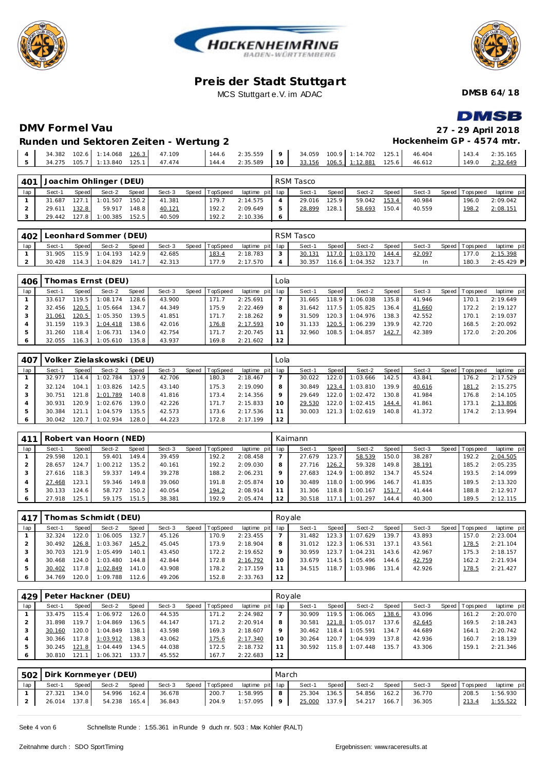





**DMSB 64/18**

**DMSB** 

#### **DMV Formel Vau 27 - 29 April 2018 Hockenheim GP - 4574 mtr.**

|  | Runden und Sektoren Zeiten - Wertung 2 |  |  |
|--|----------------------------------------|--|--|
|  |                                        |  |  |

| $\overline{A}$ |  | 34.382 102.6 1:14.068 126.3 47.109 |  | 144.6    2:35.559      9      34.059    100.9      1:14.702    125.1      46.404 |  |  |  | 143.4 | 2:35.165            |
|----------------|--|------------------------------------|--|----------------------------------------------------------------------------------|--|--|--|-------|---------------------|
|                |  |                                    |  |                                                                                  |  |  |  |       | $1149.0$ $2:32.649$ |
|                |  |                                    |  |                                                                                  |  |  |  |       |                     |

| 401 |        |       | Joachim Ohlinger (DEU) |       |        |       |          |                 | RSM Tasco |       |        |       |        |                |             |
|-----|--------|-------|------------------------|-------|--------|-------|----------|-----------------|-----------|-------|--------|-------|--------|----------------|-------------|
| lap | Sect-1 | Speed | Sect-2                 | Speed | Sect-3 | Speed | TopSpeed | laptime pit lap | Sect-1    | Speed | Sect-2 | Speed | Sect-3 | Speed Topspeed | laptime pit |
|     | 31.687 | 127.1 | 1:01.507               | 150.2 | 41.381 |       | 179.7    | 2:14.575        | 29.016    | 125.9 | 59.042 | 153.4 | 40.984 | 196.0          | 2:09.042    |
|     | 29.611 | 132.8 | 59.917                 | 148.8 | 40.121 |       | 192.2    | 2:09.649        | 28.899    | 128.1 | 58.693 | 150.4 | 40.559 | 198.2          | 2:08.151    |
|     | 29.442 | 127.8 | 1:00.385               | 152.5 | 40.509 |       | 192.2    | 2:10.336        |           |       |        |       |        |                |             |

| 402 |        |       | Leonhard Sommer (DEU) |              |        |                |                 | RSM Tasco |       |                    |         |        |                   |              |
|-----|--------|-------|-----------------------|--------------|--------|----------------|-----------------|-----------|-------|--------------------|---------|--------|-------------------|--------------|
| lap | Sect-1 | Speed | Sect-2                | <b>Speed</b> | Sect-3 | Speed TopSpeed | laptime pit lap | Sect-     | Speed | Sect-2             | Speed I | Sect-3 | Speed   Tops peed | laptime pit  |
|     | 31.905 | 115.9 | 1:04.193              | 142.9        | 42.685 | 183.4          | 2:18.783        | 30.131    |       | 117.0 1:03.170     | 144.4   | 42.097 | 177.0             | 2:15.398     |
|     | 30.428 | 114.3 | 1:04.829              | 141.7        | 42.313 | 177.9          | 2:17.570        | 30.357    |       | $116.6$   1:04.352 | 123.7   | In     | 180.3             | $2:45.429$ P |

| 406 |        |        | Thomas Ernst (DEU) |        |        |         |                 |                 | Lola    |        |         |          |       |        |                |             |
|-----|--------|--------|--------------------|--------|--------|---------|-----------------|-----------------|---------|--------|---------|----------|-------|--------|----------------|-------------|
| lap | Sect-1 | Speed  | Sect-2             | Speed  | Sect-3 | Speed T | <b>TopSpeed</b> | laptime pit lap |         | Sect-1 | Speed I | Sect-2   | Speed | Sect-3 | Speed Topspeed | laptime pit |
|     | 33.617 | 119.51 | 1:08.174           | 128.6  | 43.900 |         | 171.7           | 2:25.691        |         | 31.665 | 118.9   | 1:06.038 | 135.8 | 41.946 | 170.1          | 2:19.649    |
|     | 32.456 | 120.5  | 1:05.664           | 134.7  | 44.349 |         | 175.9           | 2:22.469        | 8       | 31.642 | 117.5   | 1:05.825 | 136.4 | 41.660 | 172.2          | 2:19.127    |
|     | 31.061 | 120.5  | 1:05.350           | 139.5  | 41.851 |         | 171.7           | 2:18.262        | $\circ$ | 31.509 | 120.3   | 1:04.976 | 138.3 | 42.552 | 170.1          | 2:19.037    |
|     | 31.159 | 119.3  | 1:04.418           | 138.61 | 42.016 |         | 176.8           | 2:17.593        | 10      | 31.133 | 120.5   | 1:06.239 | 139.9 | 42.720 | 168.5          | 2:20.092    |
|     | 31.260 | 118.4  | 1:06.731           | 134.0  | 42.754 |         | 171.7           | 2:20.745        |         | 32.960 | 108.5   | 1:04.857 | 142.7 | 42.389 | 172.0          | 2:20.206    |
|     | 32.055 | 116.3  | 1:05.610           | 135.8  | 43.937 |         | 169.8           | 2:21.602        | 12      |        |         |          |       |        |                |             |

| 407 |        |       | Volker Zielaskowski (DEU) |       |        |                |                 | Lola |        |       |          |       |        |                |             |
|-----|--------|-------|---------------------------|-------|--------|----------------|-----------------|------|--------|-------|----------|-------|--------|----------------|-------------|
| lap | Sect-1 | Speed | Sect-2                    | Speed | Sect-3 | Speed TopSpeed | laptime pit lap |      | Sect-1 | Speed | Sect-2   | Speed | Sect-3 | Speed Topspeed | laptime pit |
|     | 32.977 | 114.4 | 1:02.784                  | 137.9 | 42.706 | 180.3          | 2:18.467        |      | 30.022 | 122.0 | 1:03.666 | 142.5 | 43.841 | 176.2          | 2:17.529    |
|     | 32.124 | 104.1 | 1:03.826                  | 142.5 | 43.140 | 175.3          | 2:19.090        | 8    | 30.849 | 123.4 | 1:03.810 | 139.9 | 40.616 | 181.2          | 2:15.275    |
|     | 30.751 | 121.8 | 1:01.789                  | 140.8 | 41.816 | 173.4          | 2:14.356        |      | 29.649 | 122.0 | 1:02.472 | 130.8 | 41.984 | 176.8          | 2:14.105    |
|     | 30.931 | 120.9 | 1:02.676                  | 139.0 | 42.226 | 171.7          | 2:15.833        | 10   | 29.530 | 122.0 | 1:02.415 | 144.4 | 41.861 | 173.1          | 2:13.806    |
|     | 30.384 | 121   | 1:04.579                  | 135.5 | 42.573 | 173.6          | 2:17.536        |      | 30.003 | 121.3 | 1:02.619 | 140.8 | 41.372 | 174.2          | 2:13.994    |
| 6   | 30.042 | 120.7 | 1:02.934                  | 128.0 | 44.223 | 172.8          | 2:17.199        | 12   |        |       |          |       |        |                |             |

| 411 |        |       | Robert van Hoorn (NED) |        |        |                |             |             | Kaimann |       |          |       |        |         |            |             |
|-----|--------|-------|------------------------|--------|--------|----------------|-------------|-------------|---------|-------|----------|-------|--------|---------|------------|-------------|
| lap | Sect-1 | Speed | Sect-2                 | Speed  | Sect-3 | Speed TopSpeed | laptime pit | lap         | Sect-1  | Speed | Sect-2   | Speed | Sect-3 | Speed I | T ops peed | laptime pit |
|     | 29.598 | 20.   | 59.401                 | 149.4  | 39.459 | 192.2          | 2:08.458    |             | 27.679  | 123.7 | 58.539   | 150.0 | 38.287 |         | 192.2      | 2:04.505    |
|     | 28.657 | 24.   | 1:00.212               | 135.21 | 40.161 | 192.2          | 2:09.030    | 8           | 27.716  | 126.2 | 59.328   | 149.8 | 38.191 |         | 185.2      | 2:05.235    |
|     | 27.616 | 18.3  | 59.337                 | 149.4  | 39.278 | 188.2          | 2:06.231    | $\mathsf Q$ | 27.683  | 124.9 | 1:00.892 | 134.7 | 45.524 |         | 193.5      | 2:14.099    |
|     | 27.468 | 23.7  | 59.346                 | 149.8  | 39.060 | 191.8          | 2:05.874    | $10^{-}$    | 30.489  | 118.0 | 1:00.996 | 146.7 | 41.835 |         | 189.5      | 2:13.320    |
| .5  | 30.133 | 24.6  | 58.727                 | 150.2  | 40.054 | 194.2          | 2:08.914    |             | 31.306  | 118.8 | 1:00.167 | 151.7 | 41.444 |         | 188.8      | 2:12.917    |
| 6   | 27.918 | 25.   | 59.175                 | 151.5  | 38.381 | 192.9          | 2:05.474    | 12          | 30.518  | 117   | 1:01.297 | 144.4 | 40.300 |         | 189.5      | 2:12.115    |

| 417 |        |         | Thomas Schmidt (DEU) |       |        |                |                 |    | Royale |         |          |       |        |                |             |
|-----|--------|---------|----------------------|-------|--------|----------------|-----------------|----|--------|---------|----------|-------|--------|----------------|-------------|
| lap | Sect-1 | Speed   | Sect-2               | Speed | Sect-3 | Speed TopSpeed | laptime pit lap |    | Sect-1 | Speed I | Sect-2   | Speed | Sect-3 | Speed Topspeed | laptime pit |
|     | 32.324 | 122.0   | 1:06.005             | 132.7 | 45.126 | 170.9          | 2:23.455        |    | 31.482 | 123.3   | 1:07.629 | 139.7 | 43.893 | 157.0          | 2:23.004    |
|     | 30.492 | 126.8   | 1:03.367             | 145.2 | 45.045 | 173.9          | 2:18.904        |    | 31.012 | 122.3   | 1:06.531 | 137.1 | 43.561 | 178.5          | 2:21.104    |
|     | 30.703 | 121.9   | 1:05.499             | 140.1 | 43.450 | 172.2          | 2:19.652        |    | 30.959 | 123.7   | 1:04.231 | 143.6 | 42.967 | 175.3          | 2:18.157    |
|     | 30.468 | 124.0   | 1:03.480             | 144.8 | 42.844 | 172.8          | 2:16.792        |    | 33.679 | 114.5   | 1:05.496 | 144.6 | 42.759 | 162.2          | 2:21.934    |
|     | 30.402 | 117.8   | 1:02.849             | 141.0 | 43.908 | 178.2          | 2:17.159        |    | 34.515 | 118.7   | 1:03.986 | 131.4 | 42.926 | 178.5          | 2:21.427    |
| 6   | 34.769 | 120.O I | 1:09.788             | 112.6 | 49.206 | 152.8          | 2:33.763        | 12 |        |         |          |       |        |                |             |

| 429 |        |       | Peter Hackner (DEU) |        |        |                |             |                 | Rovale |              |          |       |        |       |           |             |
|-----|--------|-------|---------------------|--------|--------|----------------|-------------|-----------------|--------|--------------|----------|-------|--------|-------|-----------|-------------|
| lap | Sect-1 | Speed | Sect-2              | Speed  | Sect-3 | Speed TopSpeed | laptime pit | lap             | Sect-1 | <b>Speed</b> | Sect-2   | Speed | Sect-3 | Speed | Tops peed | laptime pit |
|     | 33.475 | 115.4 | 1:06.972            | 126.0  | 44.535 | 171.2          | 2:24.982    |                 | 30.909 | 119.5        | 1:06.065 | 138.6 | 43.096 |       | 161.2     | 2:20.070    |
|     | 31.898 | 119.7 | 1:04.869            | 136.51 | 44.147 | 171.2          | 2:20.914    | 8               | 30.581 | 121.8        | 1:05.017 | 137.6 | 42.645 |       | 169.5     | 2:18.243    |
|     | 30.160 | 120.0 | 1:04.849            | 138.1. | 43.598 | 169.3          | 2:18.607    | $\circ$         | 30.462 | 118.4        | 1:05.591 | 134.7 | 44.689 |       | 164.7     | 2:20.742    |
|     | 30.366 | 117.8 | 1:03.912            | 138.3  | 43.062 | 175.6          | 2:17.340    | 10 <sup>°</sup> | 30.264 | 120.         | 1:04.939 | 137.8 | 42.936 |       | 160.7     | 2:18.139    |
|     | 30.245 | 121.8 | 1:04.449            | 134.5  | 44.038 | 172.5          | 2:18.732    |                 | 30.592 | 115.8        | 1:07.448 | 135.7 | 43.306 |       | 159.1     | 2:21.346    |
| O   | 30.810 | 121.1 | 1:06.321            | 133.7  | 45.552 | 167.7          | 2:22.683    | 12              |        |              |          |       |        |       |           |             |

|     |              |       | 502   Dirk Kornmeyer (DEU) |       |        |                |                 | March                                   |              |       |        |           |        |                |             |
|-----|--------------|-------|----------------------------|-------|--------|----------------|-----------------|-----------------------------------------|--------------|-------|--------|-----------|--------|----------------|-------------|
| lap | Sect-1       | Speed | Sect-2                     | Speed | Sect-3 | Speed TopSpeed | laptime pit lap |                                         | Sect-1       | Speed | Sect-2 | Speed     | Sect-3 | Speed Topspeed | laptime pit |
|     | 27.321       | 134.0 | 54.996 162.4               |       | 36.678 | 200.7          | 1:58.995        | 8 <sup>1</sup>                          | 25.304       | 136.5 | 54.856 | $162.2$ J | 36.770 | 208.5          | 1:56.930    |
|     | 26.014 137.8 |       | 54.238 165.4               |       | 36.843 | 204.9          | 1:57.095        | $\begin{array}{ccc} \hline \end{array}$ | 25.000 137.9 |       | 54.217 | 166.7     | 36.305 | 213.4          | 1:55.522    |

Seite 4 von 6 Schnellste Runde : 1:55.361 in Runde 9 duch nr. 503 : Max Kohler (RALT)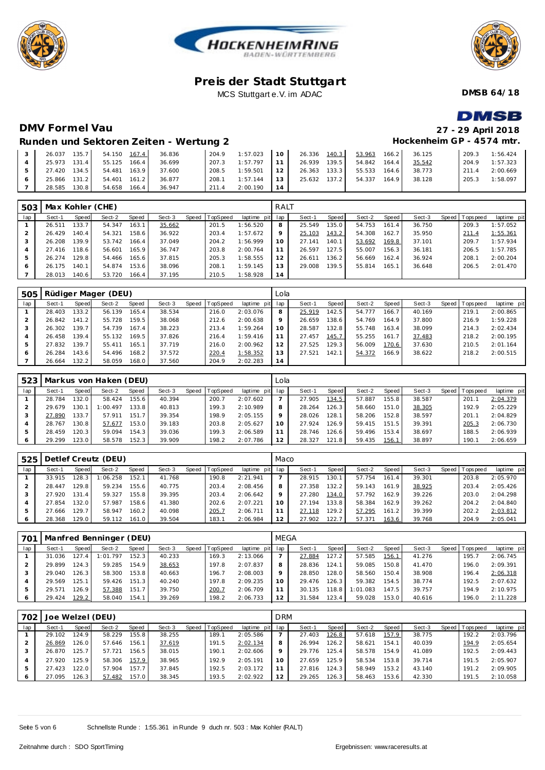





**DMSB 64/18**

# **DMSB**

**Hockenheim GP - 4574 mtr.**

## **DMV Formel Vau 27 - 29 April 2018**

#### **Runden und Sektoren Zeiten - Wertung 2**

| 135.7<br>26.037     | 167.4<br>54.150 | 36.836 | 204.9 | 1:57.023 | 10     | 26.336 | 140.3              | 53.963 | 166.2  | 36.125 | 209.3 | 1:56.424 |
|---------------------|-----------------|--------|-------|----------|--------|--------|--------------------|--------|--------|--------|-------|----------|
| 131.4<br>25.973     | 55.125<br>166.4 | 36.699 | 207.3 | 1:57.797 |        | 26.939 | 139.5              | 54.842 | 164.4  | 35.542 | 204.9 | 1:57.323 |
| $134.5$  <br>27.420 | 54.481<br>163.9 | 37.600 | 208.5 | 1:59.501 | $\sim$ | 26.363 | 133.3 <sub>1</sub> | 55.533 | 164.61 | 38.773 | 211.4 | 2:00.669 |
| 131.2<br>25.866     | 54.401<br>161.2 | 36.877 | 208.1 | 1:57.144 | 12     | 25.632 | 137.2              | 54.337 | 164.9  | 38.128 | 205.3 | 1:58.097 |
| 130.8<br>28.585     | 54.658<br>166.4 | 36.947 | 211.4 | 2:00.190 |        |        |                    |        |        |        |       |          |

| 503 |        |       | Max Kohler (CHE) |       |        |       |          |                 | RALT    |        |       |        |        |        |                |             |
|-----|--------|-------|------------------|-------|--------|-------|----------|-----------------|---------|--------|-------|--------|--------|--------|----------------|-------------|
| lap | Sect-1 | Speed | Sect-2           | Speed | Sect-3 | Speed | TopSpeed | laptime pit lap |         | Sect-1 | Speed | Sect-2 | Speed  | Sect-3 | Speed Topspeed | laptime pit |
|     | 26.511 | 133.7 | 54.347           | 163.1 | 35.662 |       | 201.5    | 1:56.520        | 8       | 25.549 | 135.0 | 54.753 | 161.4  | 36.750 | 209.3          | 1:57.052    |
|     | 26.429 | 140.4 | 54.321           | 158.6 | 36.922 |       | 203.4    | 1:57.672        | $\circ$ | 25.103 | 143.2 | 54.308 | 162.7  | 35.950 | 211.4          | 1:55.361    |
|     | 26.208 | 139.9 | 53.742           | 166.4 | 37.049 |       | 204.2    | 1:56.999        | 10      | 27.141 | 140.1 | 53.692 | 169.8  | 37.101 | 209.7          | 1:57.934    |
|     | 27.416 | 118.6 | 56.601           | 165.9 | 36.747 |       | 203.8    | 2:00.764        |         | 26.597 | 127.5 | 55.007 | 156.3  | 36.181 | 206.5          | 1:57.785    |
|     | 26.274 | 129.8 | 54.466           | 165.6 | 37.815 |       | 205.3    | 1:58.555        | 12      | 26.611 | 136.2 | 56.669 | 162.4  | 36.924 | 208.1          | 2:00.204    |
| 6   | 26.175 | 140.1 | 54.874           | 153.6 | 38.096 |       | 208.1    | 1:59.145        | 13      | 29.008 | 139.5 | 55.814 | 165.11 | 36.648 | 206.5          | 2:01.470    |
|     | 28.013 | 140.6 | 53.720           | 166.4 | 37.195 |       | 210.5    | 1:58.928        | 14      |        |       |        |        |        |                |             |

| 505 |        |                    | Rüdiger Mager (DEU) |       |        |       |                 |             | Lola |        |         |        |       |        |              |           |             |
|-----|--------|--------------------|---------------------|-------|--------|-------|-----------------|-------------|------|--------|---------|--------|-------|--------|--------------|-----------|-------------|
| lap | Sect-1 | Speed              | Sect-2              | Speed | Sect-3 | Speed | <b>TopSpeed</b> | laptime pit | lap  | Sect-1 | Speed I | Sect-2 | Speed | Sect-3 | <b>Speed</b> | Tops peed | laptime pit |
|     | 28.403 | 133.2              | 56.139              | 165.4 | 38.534 |       | 216.0           | 2:03.076    | 8    | 25.919 | 142.5   | 54.777 | 166.7 | 40.169 |              | 219.1     | 2:00.865    |
|     | 26.842 | 141.2              | 55.728              | 159.5 | 38.068 |       | 212.6           | 2:00.638    | 9    | 26.659 | 138.6   | 54.769 | 164.9 | 37.800 |              | 216.9     | 1:59.228    |
|     | 26.302 | 139.7.             | 54.739              | 167.4 | 38.223 |       | 213.4           | 1:59.264    | 10   | 28.587 | 132.8   | 55.748 | 163.4 | 38.099 |              | 214.3     | 2:02.434    |
|     | 26.458 | 139.4              | 55.132              | 169.5 | 37.826 |       | 216.4           | 1:59.416    |      | 27.457 | 145.7   | 55.255 | 161.7 | 37.483 |              | 218.2     | 2:00.195    |
|     | 27.832 | 139.7 <sub>1</sub> | 55.411              | 165.1 | 37.719 |       | 216.0           | 2:00.962    | 12   | 27.525 | 129.3   | 56.009 | 170.6 | 37.630 |              | 210.5     | 2:01.164    |
|     | 26.284 | 143.6              | 54.496              | 168.2 | 37.572 |       | 220.4           | 1:58.352    | 13   | 27.521 | 142.1   | 54.372 | 166.9 | 38.622 |              | 218.2     | 2:00.515    |
|     | 26.664 | 132.2              | 58.059              | 168.0 | 37.560 |       | 204.9           | 2:02.283    | 14   |        |         |        |       |        |              |           |             |

| 5231 |        |       | Markus von Haken (DEU) |       |        |       |          |                 | Lola |        |       |        |       |        |       |             |             |
|------|--------|-------|------------------------|-------|--------|-------|----------|-----------------|------|--------|-------|--------|-------|--------|-------|-------------|-------------|
| lap  | Sect-1 | Speed | Sect-2                 | Speed | Sect-3 | Speed | TopSpeed | laptime pit lap |      | Sect-1 | Speed | Sect-2 | Speed | Sect-3 | Speed | T ops pee d | laptime pit |
|      | 28.784 | 132.0 | 58.424                 | 155.6 | 40.394 |       | 200.7    | 2:07.602        |      | 27.905 | 134.5 | 57.887 | 155.8 | 38.587 |       | 201.7       | 2:04.379    |
|      | 29.679 | 130.  | 1:00.497               | 133.8 | 40.813 |       | 199.3    | 2:10.989        | 8    | 28.264 | 126.3 | 58.660 | 151.0 | 38.305 |       | 192.9       | 2:05.229    |
|      | 27.890 | 133.7 | 57.911                 | 151.7 | 39.354 |       | 198.9    | 2:05.155        |      | 28.026 | 128.1 | 58.206 | 152.8 | 38.597 |       | 201.7       | 2:04.829    |
|      | 28.767 | 130.8 | 57.677                 | 153.0 | 39.183 |       | 203.8    | 2:05.627        |      | 27.924 | 126.9 | 59.415 | 151.5 | 39.391 |       | 205.3       | 2:06.730    |
|      | 28.459 | 120.3 | 59.094                 | 154.3 | 39.036 |       | 199.3    | 2:06.589        |      | 28.746 | 126.6 | 59.496 | 153.4 | 38.697 |       | 188.5       | 2:06.939    |
| 6    | 29.299 | 123.0 | 58.578                 | 152.3 | 39.909 |       | 198.2    | 2:07.786        | 12   | 28.327 | 121.8 | 59.435 | 156.1 | 38.897 |       | 190.1       | 2:06.659    |

| 525 |        |         | Detlef Creutz (DEU) |              |        |       |                 |             | Maco |        |         |        |       |        |              |            |             |
|-----|--------|---------|---------------------|--------------|--------|-------|-----------------|-------------|------|--------|---------|--------|-------|--------|--------------|------------|-------------|
| lap | Sect-1 | Speed   | Sect-2              | <b>Speed</b> | Sect-3 | Speed | <b>TopSpeed</b> | laptime pit | lap  | Sect-1 | Speed I | Sect-2 | Speed | Sect-3 | <b>Speed</b> | T ops peed | laptime pit |
|     | 33.915 | 28.3    | 1:06.258            | 152.1        | 41.768 |       | 190.8           | 2:21.941    |      | 28.915 | 130.1   | 57.754 | 161.4 | 39.301 |              | 203.8      | 2:05.970    |
|     | 28.447 | 29.8    | 59.234              | 155.6        | 40.775 |       | 203.4           | 2:08.456    | 8    | 27.358 | 132.2   | 59.143 | 161.9 | 38.925 |              | 203.4      | 2:05.426    |
|     | 27.920 | $131.4$ | 59.327              | 155.8        | 39.395 |       | 203.4           | 2:06.642    |      | 27.280 | 134.0   | 57.792 | 162.9 | 39.226 |              | 203.0      | 2:04.298    |
|     | 27.854 | 132.0   | 57.987              | 158.6        | 41.380 |       | 202.6           | 2:07.221    |      | 27.194 | 133.8   | 58.384 | 162.9 | 39.262 |              | 204.2      | 2:04.840    |
|     | 27.666 | 129.7   | 58.947              | 160.2        | 40.098 |       | 205.7           | 2:06.711    |      | 27.118 | 129.2   | 57.295 | 161.2 | 39.399 |              | 202.2      | 2:03.812    |
|     | 28.368 | 29.0    | 59.112              | 161.0        | 39.504 |       | 183.1           | 2:06.984    | 12   | 27.902 | 122.7   | 57.371 | 163.6 | 39.768 |              | 204.9      | 2:05.041    |

| 701 |        |        | Manfred Benninger (DEU) |       |        |       |          |                 | MEGA |        |         |          |       |        |                |             |
|-----|--------|--------|-------------------------|-------|--------|-------|----------|-----------------|------|--------|---------|----------|-------|--------|----------------|-------------|
| lap | Sect-1 | Speed  | Sect-2                  | Speed | Sect-3 | Speed | TopSpeed | laptime pit lap |      | Sect-1 | Speed I | Sect-2   | Speed | Sect-3 | Speed Topspeed | laptime pit |
|     | 31.036 | 127.4  | 1:01.797                | 152.3 | 40.233 |       | 169.3    | 2:13.066        |      | 27.884 | 127.2   | 57.585   | 156.1 | 41.276 | 195.7          | 2:06.745    |
|     | 29.899 | 124.3  | 59.285                  | 154.9 | 38.653 |       | 197.8    | 2:07.837        | 8    | 28.836 | 124.1   | 59.085   | 150.8 | 41.470 | 196.0          | 2:09.391    |
|     | 29.040 | 126.3  | 58.300                  | 153.8 | 40.663 |       | 196.7    | 2:08.003        |      | 28.850 | 128.0   | 58.560   | 150.4 | 38.908 | 196.4          | 2:06.318    |
|     | 29.569 | 125.1  | 59.426                  | 151.3 | 40.240 |       | 197.8    | 2:09.235        | 10   | 29.476 | 126.3   | 59.382   | 154.5 | 38.774 | 192.5          | 2:07.632    |
|     | 29.571 | 126.9  | 57.388                  | 151.7 | 39.750 |       | 200.7    | 2:06.709        |      | 30.135 | 118.8   | 1:01.083 | 147.5 | 39.757 | 194.9          | 2:10.975    |
|     | 29.424 | 129.21 | 58.040                  | 154.1 | 39.269 |       | 198.2    | 2:06.733        | 12   | 31.584 | 123.4   | 59.028   | 153.0 | 40.616 | 196.0          | 2:11.228    |

| 702 | Joe Welzel (DEU) |       |        |       |        |       |                 |             | <b>DRM</b> |        |                    |        |       |        |                 |             |
|-----|------------------|-------|--------|-------|--------|-------|-----------------|-------------|------------|--------|--------------------|--------|-------|--------|-----------------|-------------|
| lap | Sect-1           | Speed | Sect-2 | Speed | Sect-3 | Speed | <b>TopSpeed</b> | laptime pit | lap        | Sect-1 | Speed I            | Sect-2 | Speed | Sect-3 | Speed Tops peed | laptime pit |
|     | 29.102           | 24.9  | 58.229 | 155.8 | 38.255 |       | 189.            | 2:05.586    |            | 27.403 | 126.8              | 57.618 | 157.9 | 38.775 | 192.2           | 2:03.796    |
|     | 26.869           | 26.0  | 57.646 | 156.1 | 37.619 |       | 191.5           | 2:02.134    | 8          | 26.994 | 126.2 <sub>1</sub> | 58.621 | 154.1 | 40.039 | 194.9           | 2:05.654    |
|     | 26.870           | 25.7  | 57.721 | 156.5 | 38.015 |       | 190.7           | 2:02.606    |            | 29.776 | 125.4              | 58.578 | 154.9 | 41.089 | 192.5           | 2:09.443    |
|     | 27.920           | 125.9 | 58.306 | 157.9 | 38.965 |       | 192.9           | 2:05.191    |            | 27.659 | 125.9              | 58.534 | 153.8 | 39.714 | 191.5           | 2:05.907    |
|     | 27.423           | 22.0  | 57.904 | 157.7 | 37.845 |       | 192.5           | 2:03.172    |            | 27.816 | 124.3              | 58.949 | 153.2 | 43.140 | 191.2           | 2:09.905    |
|     | 27.095           | 126.3 | 57.482 | 157.0 | 38.345 |       | 193.5           | 2:02.922    |            | 29.265 | 126.3              | 58.463 | 153.6 | 42.330 | 191.5           | 2:10.058    |